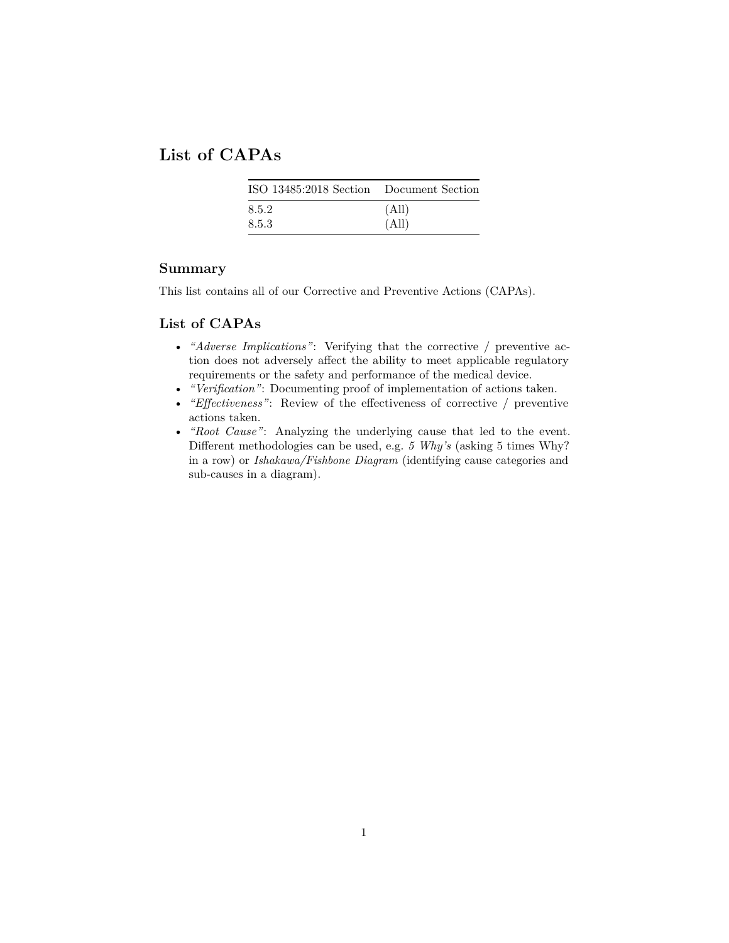## **List of CAPAs**

| ISO 13485:2018 Section Document Section |       |  |  |  |
|-----------------------------------------|-------|--|--|--|
| 8.5.2                                   | (All) |  |  |  |
| 8.5.3                                   | (All) |  |  |  |

## **Summary**

This list contains all of our Corrective and Preventive Actions (CAPAs).

## **List of CAPAs**

- *"Adverse Implications"*: Verifying that the corrective / preventive action does not adversely affect the ability to meet applicable regulatory requirements or the safety and performance of the medical device.
- *"Verification"*: Documenting proof of implementation of actions taken.
- *"Effectiveness"*: Review of the effectiveness of corrective / preventive actions taken.
- *"Root Cause"*: Analyzing the underlying cause that led to the event. Different methodologies can be used, e.g. *5 Why's* (asking 5 times Why? in a row) or *Ishakawa/Fishbone Diagram* (identifying cause categories and sub-causes in a diagram).